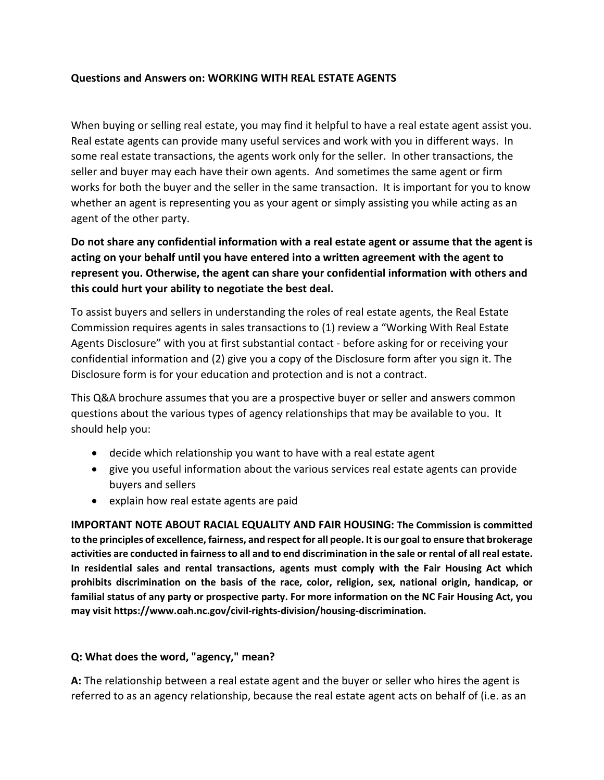## **Questions and Answers on: WORKING WITH REAL ESTATE AGENTS**

When buying or selling real estate, you may find it helpful to have a real estate agent assist you. Real estate agents can provide many useful services and work with you in different ways. In some real estate transactions, the agents work only for the seller. In other transactions, the seller and buyer may each have their own agents. And sometimes the same agent or firm works for both the buyer and the seller in the same transaction. It is important for you to know whether an agent is representing you as your agent or simply assisting you while acting as an agent of the other party.

**Do not share any confidential information with a real estate agent or assume that the agent is acting on your behalf until you have entered into a written agreement with the agent to represent you. Otherwise, the agent can share your confidential information with others and this could hurt your ability to negotiate the best deal.**

To assist buyers and sellers in understanding the roles of real estate agents, the Real Estate Commission requires agents in sales transactions to (1) review a "Working With Real Estate Agents Disclosure" with you at first substantial contact - before asking for or receiving your confidential information and (2) give you a copy of the Disclosure form after you sign it. The Disclosure form is for your education and protection and is not a contract.

This Q&A brochure assumes that you are a prospective buyer or seller and answers common questions about the various types of agency relationships that may be available to you. It should help you:

- decide which relationship you want to have with a real estate agent
- give you useful information about the various services real estate agents can provide buyers and sellers
- explain how real estate agents are paid

**IMPORTANT NOTE ABOUT RACIAL EQUALITY AND FAIR HOUSING: The Commission is committed to the principles of excellence, fairness, and respect for all people. It is our goal to ensure that brokerage activities are conducted in fairness to all and to end discrimination in the sale or rental of all real estate. In residential sales and rental transactions, agents must comply with the Fair Housing Act which prohibits discrimination on the basis of the race, color, religion, sex, national origin, handicap, or familial status of any party or prospective party. For more information on the NC Fair Housing Act, you may visit https://www.oah.nc.gov/civil-rights-division/housing-discrimination.**

#### **Q: What does the word, "agency," mean?**

**A:** The relationship between a real estate agent and the buyer or seller who hires the agent is referred to as an agency relationship, because the real estate agent acts on behalf of (i.e. as an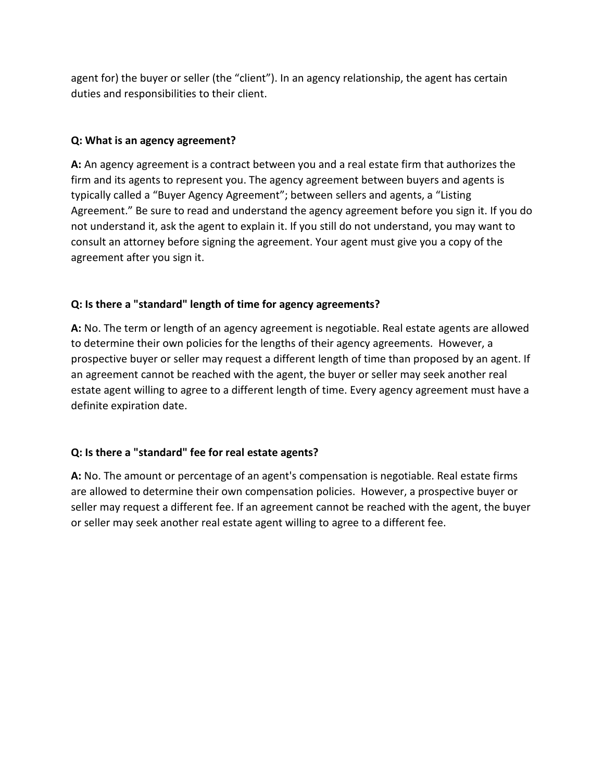agent for) the buyer or seller (the "client"). In an agency relationship, the agent has certain duties and responsibilities to their client.

## **Q: What is an agency agreement?**

**A:** An agency agreement is a contract between you and a real estate firm that authorizes the firm and its agents to represent you. The agency agreement between buyers and agents is typically called a "Buyer Agency Agreement"; between sellers and agents, a "Listing Agreement." Be sure to read and understand the agency agreement before you sign it. If you do not understand it, ask the agent to explain it. If you still do not understand, you may want to consult an attorney before signing the agreement. Your agent must give you a copy of the agreement after you sign it.

# **Q: Is there a "standard" length of time for agency agreements?**

**A:** No. The term or length of an agency agreement is negotiable. Real estate agents are allowed to determine their own policies for the lengths of their agency agreements. However, a prospective buyer or seller may request a different length of time than proposed by an agent. If an agreement cannot be reached with the agent, the buyer or seller may seek another real estate agent willing to agree to a different length of time. Every agency agreement must have a definite expiration date.

# **Q: Is there a "standard" fee for real estate agents?**

**A:** No. The amount or percentage of an agent's compensation is negotiable. Real estate firms are allowed to determine their own compensation policies. However, a prospective buyer or seller may request a different fee. If an agreement cannot be reached with the agent, the buyer or seller may seek another real estate agent willing to agree to a different fee.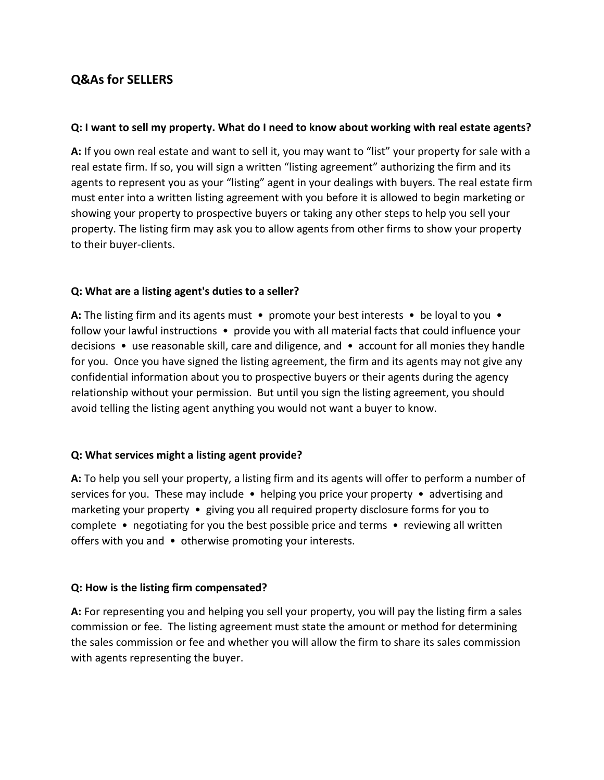# **Q&As for SELLERS**

## **Q: I want to sell my property. What do I need to know about working with real estate agents?**

**A:** If you own real estate and want to sell it, you may want to "list" your property for sale with a real estate firm. If so, you will sign a written "listing agreement" authorizing the firm and its agents to represent you as your "listing" agent in your dealings with buyers. The real estate firm must enter into a written listing agreement with you before it is allowed to begin marketing or showing your property to prospective buyers or taking any other steps to help you sell your property. The listing firm may ask you to allow agents from other firms to show your property to their buyer-clients.

## **Q: What are a listing agent's duties to a seller?**

**A:** The listing firm and its agents must • promote your best interests • be loyal to you • follow your lawful instructions • provide you with all material facts that could influence your decisions • use reasonable skill, care and diligence, and • account for all monies they handle for you. Once you have signed the listing agreement, the firm and its agents may not give any confidential information about you to prospective buyers or their agents during the agency relationship without your permission. But until you sign the listing agreement, you should avoid telling the listing agent anything you would not want a buyer to know.

## **Q: What services might a listing agent provide?**

**A:** To help you sell your property, a listing firm and its agents will offer to perform a number of services for you. These may include • helping you price your property • advertising and marketing your property • giving you all required property disclosure forms for you to complete • negotiating for you the best possible price and terms • reviewing all written offers with you and • otherwise promoting your interests.

#### **Q: How is the listing firm compensated?**

**A:** For representing you and helping you sell your property, you will pay the listing firm a sales commission or fee. The listing agreement must state the amount or method for determining the sales commission or fee and whether you will allow the firm to share its sales commission with agents representing the buyer.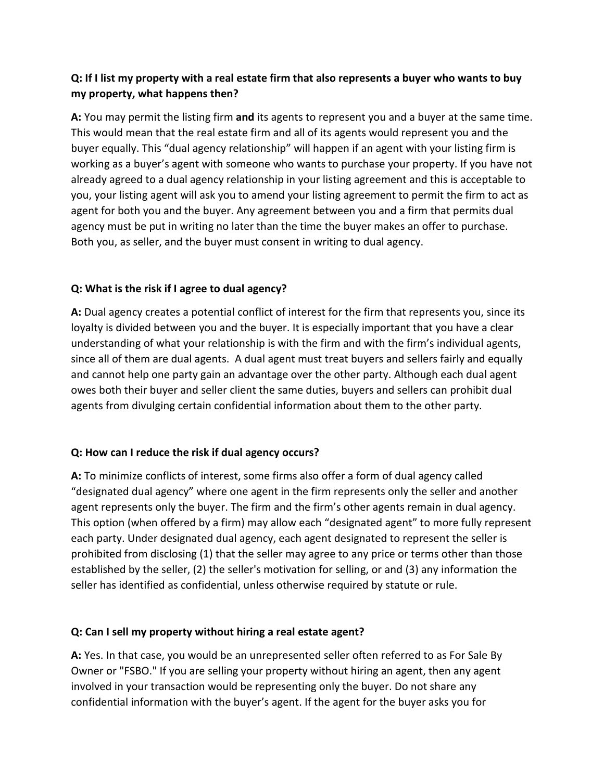# **Q: If I list my property with a real estate firm that also represents a buyer who wants to buy my property, what happens then?**

**A:** You may permit the listing firm **and** its agents to represent you and a buyer at the same time. This would mean that the real estate firm and all of its agents would represent you and the buyer equally. This "dual agency relationship" will happen if an agent with your listing firm is working as a buyer's agent with someone who wants to purchase your property. If you have not already agreed to a dual agency relationship in your listing agreement and this is acceptable to you, your listing agent will ask you to amend your listing agreement to permit the firm to act as agent for both you and the buyer. Any agreement between you and a firm that permits dual agency must be put in writing no later than the time the buyer makes an offer to purchase. Both you, as seller, and the buyer must consent in writing to dual agency.

## **Q: What is the risk if I agree to dual agency?**

**A:** Dual agency creates a potential conflict of interest for the firm that represents you, since its loyalty is divided between you and the buyer. It is especially important that you have a clear understanding of what your relationship is with the firm and with the firm's individual agents, since all of them are dual agents. A dual agent must treat buyers and sellers fairly and equally and cannot help one party gain an advantage over the other party. Although each dual agent owes both their buyer and seller client the same duties, buyers and sellers can prohibit dual agents from divulging certain confidential information about them to the other party.

## **Q: How can I reduce the risk if dual agency occurs?**

**A:** To minimize conflicts of interest, some firms also offer a form of dual agency called "designated dual agency" where one agent in the firm represents only the seller and another agent represents only the buyer. The firm and the firm's other agents remain in dual agency. This option (when offered by a firm) may allow each "designated agent" to more fully represent each party. Under designated dual agency, each agent designated to represent the seller is prohibited from disclosing (1) that the seller may agree to any price or terms other than those established by the seller, (2) the seller's motivation for selling, or and (3) any information the seller has identified as confidential, unless otherwise required by statute or rule.

## **Q: Can I sell my property without hiring a real estate agent?**

**A:** Yes. In that case, you would be an unrepresented seller often referred to as For Sale By Owner or "FSBO." If you are selling your property without hiring an agent, then any agent involved in your transaction would be representing only the buyer. Do not share any confidential information with the buyer's agent. If the agent for the buyer asks you for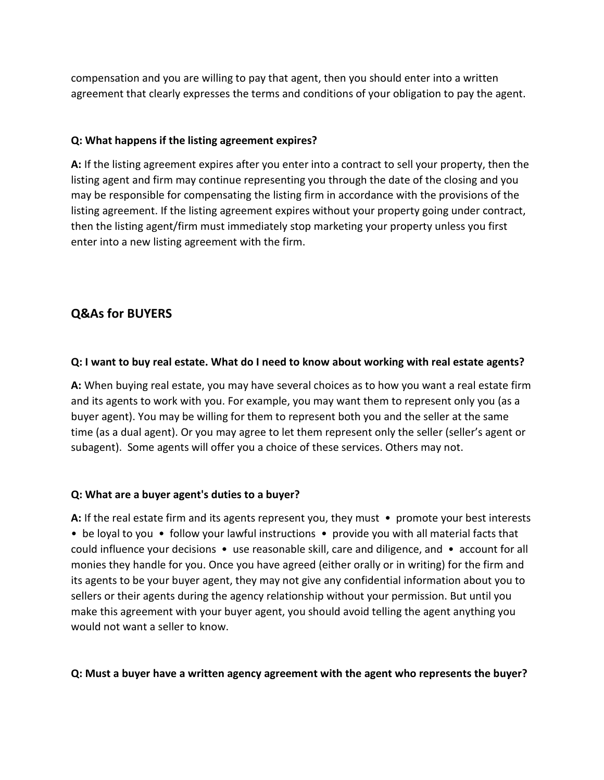compensation and you are willing to pay that agent, then you should enter into a written agreement that clearly expresses the terms and conditions of your obligation to pay the agent.

## **Q: What happens if the listing agreement expires?**

**A:** If the listing agreement expires after you enter into a contract to sell your property, then the listing agent and firm may continue representing you through the date of the closing and you may be responsible for compensating the listing firm in accordance with the provisions of the listing agreement. If the listing agreement expires without your property going under contract, then the listing agent/firm must immediately stop marketing your property unless you first enter into a new listing agreement with the firm.

# **Q&As for BUYERS**

#### **Q: I want to buy real estate. What do I need to know about working with real estate agents?**

**A:** When buying real estate, you may have several choices as to how you want a real estate firm and its agents to work with you. For example, you may want them to represent only you (as a buyer agent). You may be willing for them to represent both you and the seller at the same time (as a dual agent). Or you may agree to let them represent only the seller (seller's agent or subagent). Some agents will offer you a choice of these services. Others may not.

#### **Q: What are a buyer agent's duties to a buyer?**

**A:** If the real estate firm and its agents represent you, they must • promote your best interests • be loyal to you • follow your lawful instructions • provide you with all material facts that could influence your decisions  $\bullet$  use reasonable skill, care and diligence, and  $\bullet$  account for all monies they handle for you. Once you have agreed (either orally or in writing) for the firm and its agents to be your buyer agent, they may not give any confidential information about you to sellers or their agents during the agency relationship without your permission. But until you make this agreement with your buyer agent, you should avoid telling the agent anything you would not want a seller to know.

#### **Q: Must a buyer have a written agency agreement with the agent who represents the buyer?**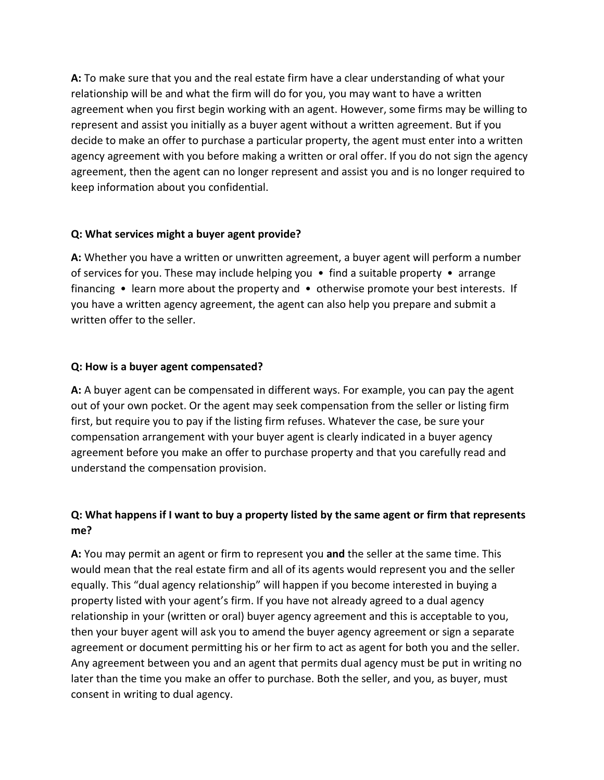**A:** To make sure that you and the real estate firm have a clear understanding of what your relationship will be and what the firm will do for you, you may want to have a written agreement when you first begin working with an agent. However, some firms may be willing to represent and assist you initially as a buyer agent without a written agreement. But if you decide to make an offer to purchase a particular property, the agent must enter into a written agency agreement with you before making a written or oral offer. If you do not sign the agency agreement, then the agent can no longer represent and assist you and is no longer required to keep information about you confidential.

## **Q: What services might a buyer agent provide?**

**A:** Whether you have a written or unwritten agreement, a buyer agent will perform a number of services for you. These may include helping you  $\bullet$  find a suitable property  $\bullet$  arrange financing • learn more about the property and • otherwise promote your best interests. If you have a written agency agreement, the agent can also help you prepare and submit a written offer to the seller.

## **Q: How is a buyer agent compensated?**

**A:** A buyer agent can be compensated in different ways. For example, you can pay the agent out of your own pocket. Or the agent may seek compensation from the seller or listing firm first, but require you to pay if the listing firm refuses. Whatever the case, be sure your compensation arrangement with your buyer agent is clearly indicated in a buyer agency agreement before you make an offer to purchase property and that you carefully read and understand the compensation provision.

# **Q: What happens if I want to buy a property listed by the same agent or firm that represents me?**

**A:** You may permit an agent or firm to represent you **and** the seller at the same time. This would mean that the real estate firm and all of its agents would represent you and the seller equally. This "dual agency relationship" will happen if you become interested in buying a property listed with your agent's firm. If you have not already agreed to a dual agency relationship in your (written or oral) buyer agency agreement and this is acceptable to you, then your buyer agent will ask you to amend the buyer agency agreement or sign a separate agreement or document permitting his or her firm to act as agent for both you and the seller. Any agreement between you and an agent that permits dual agency must be put in writing no later than the time you make an offer to purchase. Both the seller, and you, as buyer, must consent in writing to dual agency.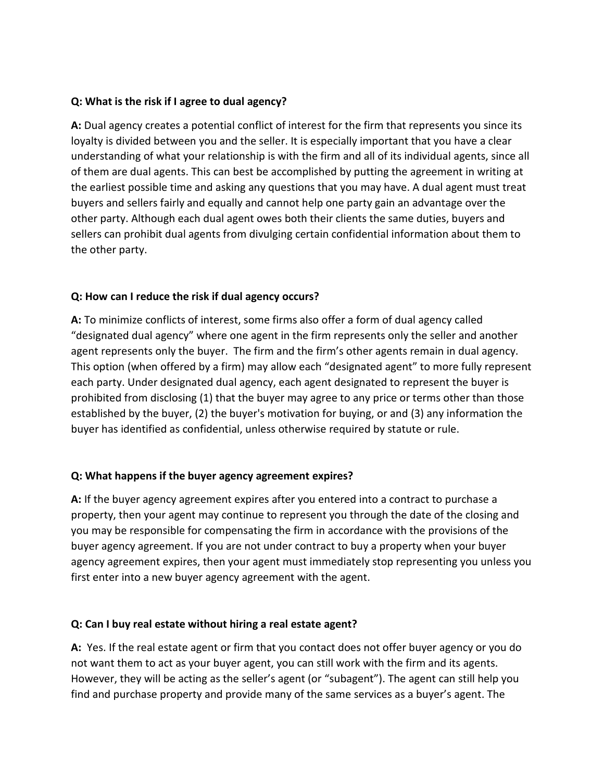## **Q: What is the risk if I agree to dual agency?**

**A:** Dual agency creates a potential conflict of interest for the firm that represents you since its loyalty is divided between you and the seller. It is especially important that you have a clear understanding of what your relationship is with the firm and all of its individual agents, since all of them are dual agents. This can best be accomplished by putting the agreement in writing at the earliest possible time and asking any questions that you may have. A dual agent must treat buyers and sellers fairly and equally and cannot help one party gain an advantage over the other party. Although each dual agent owes both their clients the same duties, buyers and sellers can prohibit dual agents from divulging certain confidential information about them to the other party.

## **Q: How can I reduce the risk if dual agency occurs?**

**A:** To minimize conflicts of interest, some firms also offer a form of dual agency called "designated dual agency" where one agent in the firm represents only the seller and another agent represents only the buyer. The firm and the firm's other agents remain in dual agency. This option (when offered by a firm) may allow each "designated agent" to more fully represent each party. Under designated dual agency, each agent designated to represent the buyer is prohibited from disclosing (1) that the buyer may agree to any price or terms other than those established by the buyer, (2) the buyer's motivation for buying, or and (3) any information the buyer has identified as confidential, unless otherwise required by statute or rule.

## **Q: What happens if the buyer agency agreement expires?**

**A:** If the buyer agency agreement expires after you entered into a contract to purchase a property, then your agent may continue to represent you through the date of the closing and you may be responsible for compensating the firm in accordance with the provisions of the buyer agency agreement. If you are not under contract to buy a property when your buyer agency agreement expires, then your agent must immediately stop representing you unless you first enter into a new buyer agency agreement with the agent.

## **Q: Can I buy real estate without hiring a real estate agent?**

**A:** Yes. If the real estate agent or firm that you contact does not offer buyer agency or you do not want them to act as your buyer agent, you can still work with the firm and its agents. However, they will be acting as the seller's agent (or "subagent"). The agent can still help you find and purchase property and provide many of the same services as a buyer's agent. The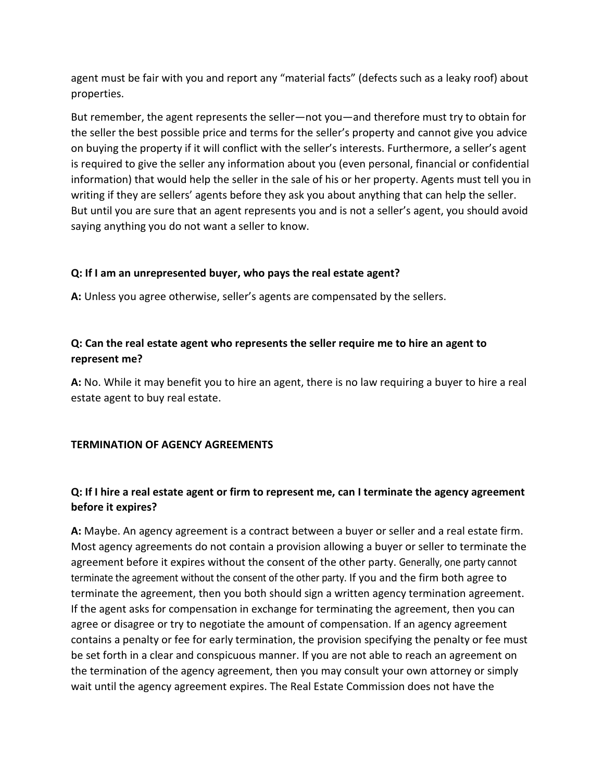agent must be fair with you and report any "material facts" (defects such as a leaky roof) about properties.

But remember, the agent represents the seller—not you—and therefore must try to obtain for the seller the best possible price and terms for the seller's property and cannot give you advice on buying the property if it will conflict with the seller's interests. Furthermore, a seller's agent is required to give the seller any information about you (even personal, financial or confidential information) that would help the seller in the sale of his or her property. Agents must tell you in writing if they are sellers' agents before they ask you about anything that can help the seller. But until you are sure that an agent represents you and is not a seller's agent, you should avoid saying anything you do not want a seller to know.

## **Q: If I am an unrepresented buyer, who pays the real estate agent?**

**A:** Unless you agree otherwise, seller's agents are compensated by the sellers.

## **Q: Can the real estate agent who represents the seller require me to hire an agent to represent me?**

**A:** No. While it may benefit you to hire an agent, there is no law requiring a buyer to hire a real estate agent to buy real estate.

#### **TERMINATION OF AGENCY AGREEMENTS**

# **Q: If I hire a real estate agent or firm to represent me, can I terminate the agency agreement before it expires?**

**A:** Maybe. An agency agreement is a contract between a buyer or seller and a real estate firm. Most agency agreements do not contain a provision allowing a buyer or seller to terminate the agreement before it expires without the consent of the other party. Generally, one party cannot terminate the agreement without the consent of the other party. If you and the firm both agree to terminate the agreement, then you both should sign a written agency termination agreement. If the agent asks for compensation in exchange for terminating the agreement, then you can agree or disagree or try to negotiate the amount of compensation. If an agency agreement contains a penalty or fee for early termination, the provision specifying the penalty or fee must be set forth in a clear and conspicuous manner. If you are not able to reach an agreement on the termination of the agency agreement, then you may consult your own attorney or simply wait until the agency agreement expires. The Real Estate Commission does not have the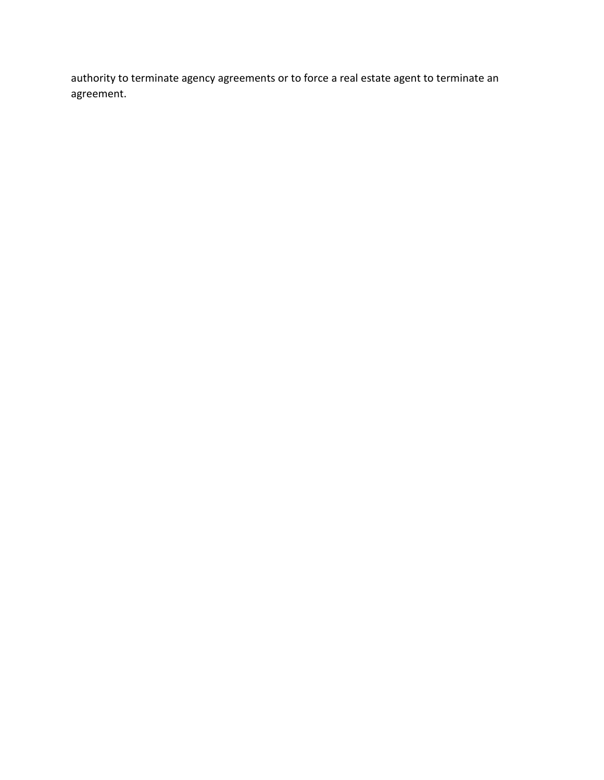authority to terminate agency agreements or to force a real estate agent to terminate an agreement.